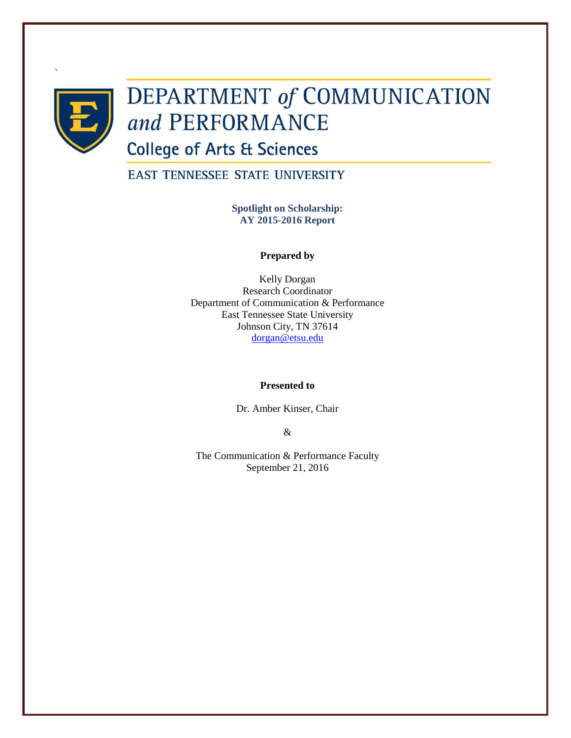

`

# DEPARTMENT of COMMUNICATION and PERFORMANCE

**College of Arts & Sciences** 

**EAST TENNESSEE STATE UNIVERSITY** 

**Spotlight on Scholarship: AY 2015-2016 Report**

# **Prepared by**

Kelly Dorgan Research Coordinator Department of Communication & Performance East Tennessee State University Johnson City, TN 37614 [dorgan@etsu.edu](mailto:dorgan@etsu.edu)

# **Presented to**

Dr. Amber Kinser, Chair

&

The Communication & Performance Faculty September 21, 2016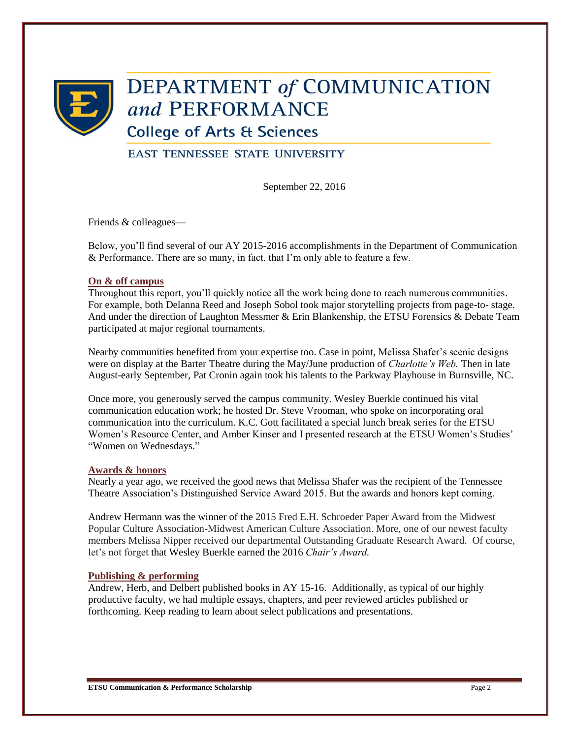

# **DEPARTMENT of COMMUNICATION** and PERFORMANCE

**College of Arts & Sciences** 

**EAST TENNESSEE STATE UNIVERSITY** 

September 22, 2016

Friends & colleagues—

Below, you'll find several of our AY 2015-2016 accomplishments in the Department of Communication & Performance. There are so many, in fact, that I'm only able to feature a few.

# **On & off campus**

Throughout this report, you'll quickly notice all the work being done to reach numerous communities. For example, both Delanna Reed and Joseph Sobol took major storytelling projects from page-to- stage. And under the direction of Laughton Messmer & Erin Blankenship, the ETSU Forensics & Debate Team participated at major regional tournaments.

Nearby communities benefited from your expertise too. Case in point, Melissa Shafer's scenic designs were on display at the Barter Theatre during the May/June production of *Charlotte's Web.* Then in late August-early September, Pat Cronin again took his talents to the Parkway Playhouse in Burnsville, NC.

Once more, you generously served the campus community. Wesley Buerkle continued his vital communication education work; he hosted Dr. Steve Vrooman, who spoke on incorporating oral communication into the curriculum. K.C. Gott facilitated a special lunch break series for the ETSU Women's Resource Center, and Amber Kinser and I presented research at the ETSU Women's Studies' "Women on Wednesdays."

# **Awards & honors**

Nearly a year ago, we received the good news that Melissa Shafer was the recipient of the Tennessee Theatre Association's Distinguished Service Award 2015. But the awards and honors kept coming.

Andrew Hermann was the winner of the 2015 Fred E.H. Schroeder Paper Award from the Midwest Popular Culture Association-Midwest American Culture Association. More, one of our newest faculty members Melissa Nipper received our departmental Outstanding Graduate Research Award. Of course, let's not forget that Wesley Buerkle earned the 2016 *Chair's Award.*

# **Publishing & performing**

Andrew, Herb, and Delbert published books in AY 15-16. Additionally, as typical of our highly productive faculty, we had multiple essays, chapters, and peer reviewed articles published or forthcoming. Keep reading to learn about select publications and presentations.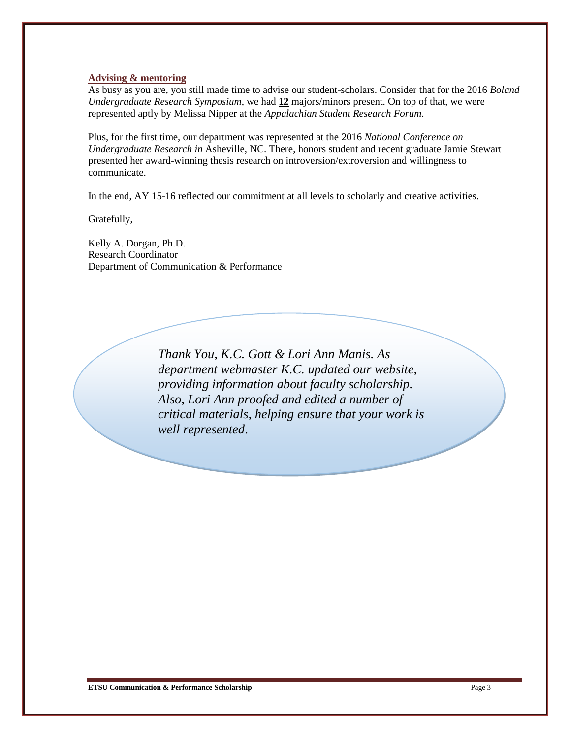# **Advising & mentoring**

As busy as you are, you still made time to advise our student-scholars. Consider that for the 2016 *Boland Undergraduate Research Symposium*, we had **12** majors/minors present. On top of that, we were represented aptly by Melissa Nipper at the *Appalachian Student Research Forum*.

Plus, for the first time, our department was represented at the 2016 *National Conference on Undergraduate Research in* Asheville, NC. There, honors student and recent graduate Jamie Stewart presented her award-winning thesis research on introversion/extroversion and willingness to communicate.

In the end, AY 15-16 reflected our commitment at all levels to scholarly and creative activities.

Gratefully,

Kelly A. Dorgan, Ph.D. Research Coordinator Department of Communication & Performance

> *Thank You, K.C. Gott & Lori Ann Manis. As department webmaster K.C. updated our website, providing information about faculty scholarship. Also, Lori Ann proofed and edited a number of critical materials, helping ensure that your work is well represented*.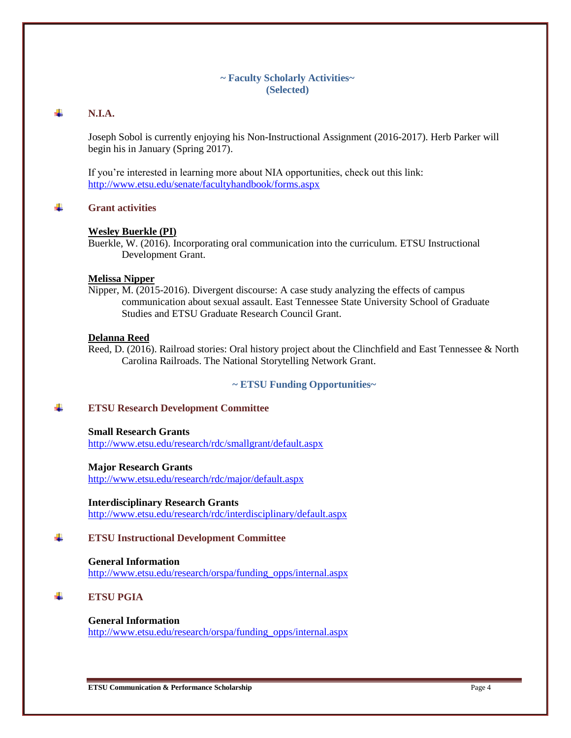# **~ Faculty Scholarly Activities~ (Selected)**

#### 4. **N.I.A.**

Joseph Sobol is currently enjoying his Non-Instructional Assignment (2016-2017). Herb Parker will begin his in January (Spring 2017).

If you're interested in learning more about NIA opportunities, check out this link: <http://www.etsu.edu/senate/facultyhandbook/forms.aspx>

4. **Grant activities**

# **Wesley Buerkle (PI)**

Buerkle, W. (2016). Incorporating oral communication into the curriculum. ETSU Instructional Development Grant.

# **Melissa Nipper**

Nipper, M. (2015-2016). Divergent discourse: A case study analyzing the effects of campus communication about sexual assault. East Tennessee State University School of Graduate Studies and ETSU Graduate Research Council Grant.

# **Delanna Reed**

Reed, D. (2016). Railroad stories: Oral history project about the Clinchfield and East Tennessee & North Carolina Railroads. The National Storytelling Network Grant.

# **~ ETSU Funding Opportunities~**

#### ÷. **ETSU Research Development Committee**

# **Small Research Grants**

<http://www.etsu.edu/research/rdc/smallgrant/default.aspx>

### **Major Research Grants**

<http://www.etsu.edu/research/rdc/major/default.aspx>

**Interdisciplinary Research Grants** <http://www.etsu.edu/research/rdc/interdisciplinary/default.aspx>

#### 4 **ETSU Instructional Development Committee**

**General Information** [http://www.etsu.edu/research/orspa/funding\\_opps/internal.aspx](http://www.etsu.edu/research/orspa/funding_opps/internal.aspx)

#### 4 **ETSU PGIA**

# **General Information**

[http://www.etsu.edu/research/orspa/funding\\_opps/internal.aspx](http://www.etsu.edu/research/orspa/funding_opps/internal.aspx)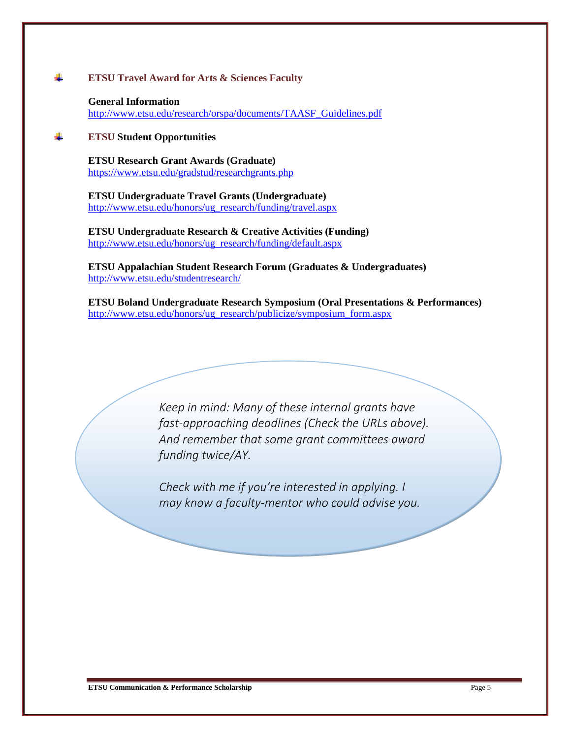#### 4 **ETSU Travel Award for Arts & Sciences Faculty**

**General Information** [http://www.etsu.edu/research/orspa/documents/TAASF\\_Guidelines.pdf](http://www.etsu.edu/research/orspa/documents/TAASF_Guidelines.pdf)

#### ÷ **ETSU Student Opportunities**

**ETSU Research Grant Awards (Graduate)** <https://www.etsu.edu/gradstud/researchgrants.php>

**ETSU Undergraduate Travel Grants (Undergraduate)** [http://www.etsu.edu/honors/ug\\_research/funding/travel.aspx](http://www.etsu.edu/honors/ug_research/funding/travel.aspx)

**ETSU Undergraduate Research & Creative Activities (Funding)** [http://www.etsu.edu/honors/ug\\_research/funding/default.aspx](http://www.etsu.edu/honors/ug_research/funding/default.aspx)

**ETSU Appalachian Student Research Forum (Graduates & Undergraduates)** <http://www.etsu.edu/studentresearch/>

**ETSU Boland Undergraduate Research Symposium (Oral Presentations & Performances)** [http://www.etsu.edu/honors/ug\\_research/publicize/symposium\\_form.aspx](http://www.etsu.edu/honors/ug_research/publicize/symposium_form.aspx)

> *Keep in mind: Many of these internal grants have fast-approaching deadlines (Check the URLs above). And remember that some grant committees award funding twice/AY.*

*Check with me if you're interested in applying. I may know a faculty-mentor who could advise you.*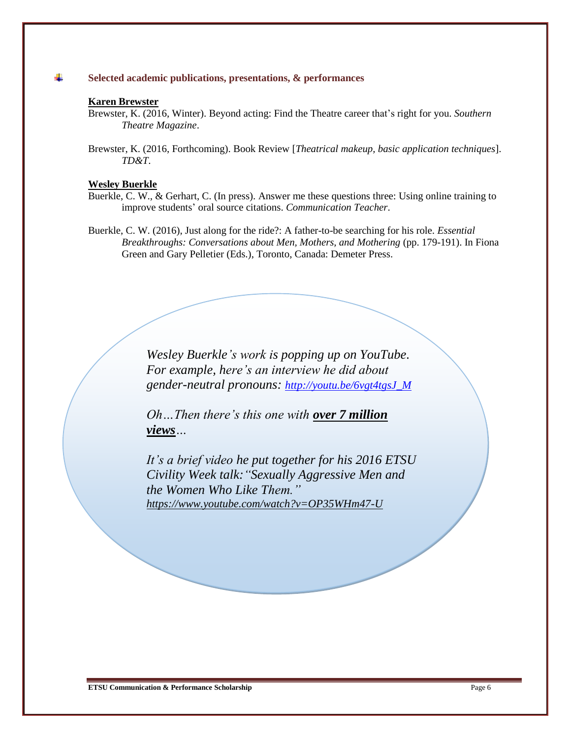#### ÷ **Selected academic publications, presentations, & performances**

### **Karen Brewster**

Brewster, K. (2016, Winter). Beyond acting: Find the Theatre career that's right for you. *Southern Theatre Magazine*.

Brewster, K. (2016, Forthcoming). Book Review [*Theatrical makeup, basic application techniques*]. *TD&T*.

### **Wesley Buerkle**

- Buerkle, C. W., & Gerhart, C. (In press). Answer me these questions three: Using online training to improve students' oral source citations. *Communication Teacher*.
- Buerkle, C. W. (2016), Just along for the ride?: A father-to-be searching for his role. *Essential Breakthroughs: Conversations about Men, Mothers, and Mothering* (pp. 179-191). In Fiona Green and Gary Pelletier (Eds.), Toronto, Canada: Demeter Press.

*Wesley Buerkle's work is popping up on YouTube. For example, here's an interview he did about gender-neutral pronouns: [http://youtu.be/6vgt4tgsJ\\_M](http://youtu.be/6vgt4tgsJ_M)*

*Oh…Then there's this one with over 7 million views…*

*It's a brief video he put together for his 2016 ETSU Civility Week talk:"Sexually Aggressive Men and the Women Who Like Them." <https://www.youtube.com/watch?v=OP35WHm47-U>*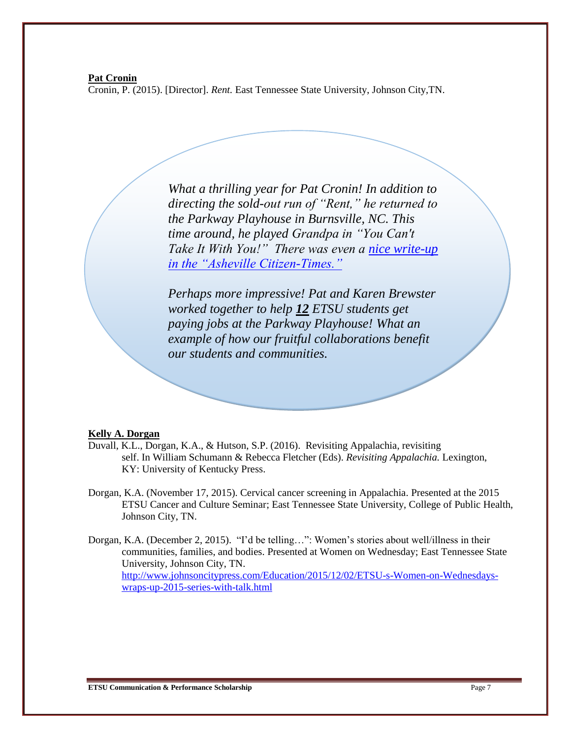### **Pat Cronin**

Cronin, P. (2015). [Director]. *Rent.* East Tennessee State University, Johnson City,TN.

*What a thrilling year for Pat Cronin! In addition to directing the sold-out run of "Rent," he returned to the Parkway Playhouse in Burnsville, NC. This time around, he played Grandpa in "You Can't Take It With You!" There was even a [nice write-up](http://www.citizen-times.com/story/entertainment/2016/08/30/review-you-cant-miss-you-cant-take-you/89561864/)  [in the "Asheville Citizen-Times."](http://www.citizen-times.com/story/entertainment/2016/08/30/review-you-cant-miss-you-cant-take-you/89561864/)*

*Perhaps more impressive! Pat and Karen Brewster worked together to help 12 ETSU students get paying jobs at the Parkway Playhouse! What an example of how our fruitful collaborations benefit our students and communities.* 

### **Kelly A. Dorgan**

- Duvall, K.L., Dorgan, K.A., & Hutson, S.P. (2016). Revisiting Appalachia, revisiting self. In William Schumann & Rebecca Fletcher (Eds). *Revisiting Appalachia.* Lexington, KY: University of Kentucky Press.
- Dorgan, K.A. (November 17, 2015). Cervical cancer screening in Appalachia. Presented at the 2015 ETSU Cancer and Culture Seminar; East Tennessee State University, College of Public Health, Johnson City, TN.

Dorgan, K.A. (December 2, 2015). "I'd be telling…": Women's stories about well/illness in their communities, families, and bodies. Presented at Women on Wednesday; East Tennessee State University, Johnson City, TN. [http://www.johnsoncitypress.com/Education/2015/12/02/ETSU-s-Women-on-Wednesdays](http://www.johnsoncitypress.com/Education/2015/12/02/ETSU-s-Women-on-Wednesdays-wraps-up-2015-series-with-talk.html)[wraps-up-2015-series-with-talk.html](http://www.johnsoncitypress.com/Education/2015/12/02/ETSU-s-Women-on-Wednesdays-wraps-up-2015-series-with-talk.html)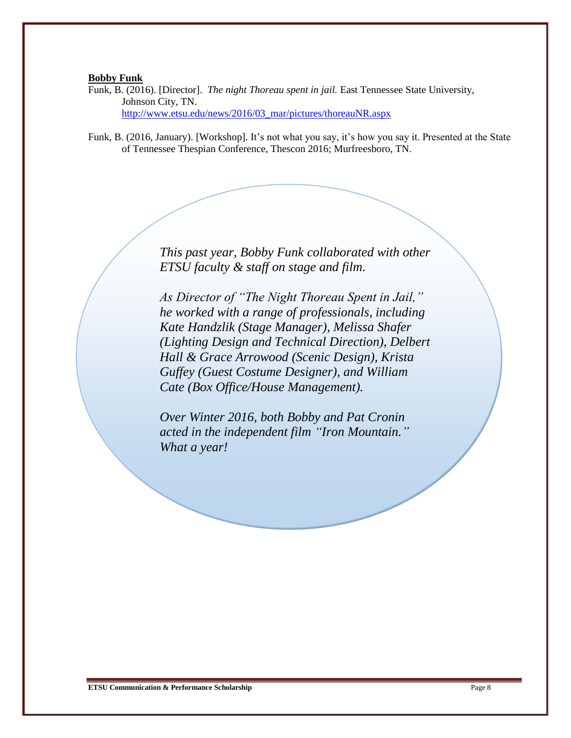### **Bobby Funk**

Funk, B. (2016). [Director]. *The night Thoreau spent in jail.* East Tennessee State University, Johnson City, TN. [http://www.etsu.edu/news/2016/03\\_mar/pictures/thoreauNR.aspx](http://www.etsu.edu/news/2016/03_mar/pictures/thoreauNR.aspx)

Funk, B. (2016, January). [Workshop]. It's not what you say, it's how you say it. Presented at the State of Tennessee Thespian Conference, Thescon 2016; Murfreesboro, TN.

> *This past year, Bobby Funk collaborated with other ETSU faculty & staff on stage and film.*

> *As Director of "The Night Thoreau Spent in Jail," he worked with a range of professionals, including Kate Handzlik (Stage Manager), Melissa Shafer (Lighting Design and Technical Direction), Delbert Hall & Grace Arrowood (Scenic Design), Krista Guffey (Guest Costume Designer), and William Cate (Box Office/House Management).*

*Over Winter 2016, both Bobby and Pat Cronin acted in the independent film "Iron Mountain." What a year!*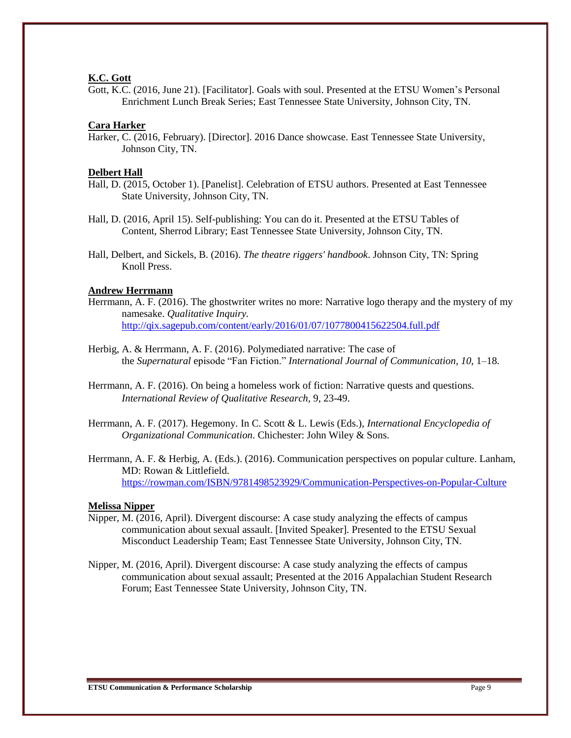### **K.C. Gott**

Gott, K.C. (2016, June 21). [Facilitator]. Goals with soul. Presented at the ETSU Women's Personal Enrichment Lunch Break Series; East Tennessee State University, Johnson City, TN.

### **Cara Harker**

Harker, C. (2016, February). [Director]. 2016 Dance showcase. East Tennessee State University, Johnson City, TN.

### **Delbert Hall**

- Hall, D. (2015, October 1). [Panelist]. Celebration of ETSU authors. Presented at East Tennessee State University, Johnson City, TN.
- Hall, D. (2016, April 15). Self-publishing: You can do it. Presented at the ETSU Tables of Content, Sherrod Library; East Tennessee State University, Johnson City, TN.
- Hall, Delbert, and Sickels, B. (2016). *The theatre riggers' handbook*. Johnson City, TN: Spring Knoll Press.

# **Andrew Herrmann**

- Herrmann, A. F. (2016). The ghostwriter writes no more: Narrative logo therapy and the mystery of my namesake. *Qualitative Inquiry.* <http://qix.sagepub.com/content/early/2016/01/07/1077800415622504.full.pdf>
- Herbig, A. & Herrmann, A. F. (2016). Polymediated narrative: The case of the *Supernatural* episode "Fan Fiction." *International Journal of Communication, 10*, 1–18.
- Herrmann, A. F. (2016). On being a homeless work of fiction: Narrative quests and questions. *International Review of Qualitative Research,* 9, 23-49.
- Herrmann, A. F. (2017). Hegemony. In C. Scott & L. Lewis (Eds.), *International Encyclopedia of Organizational Communication*. Chichester: John Wiley & Sons.
- Herrmann, A. F. & Herbig, A. (Eds.). (2016). Communication perspectives on popular culture. Lanham, MD: Rowan & Littlefield. <https://rowman.com/ISBN/9781498523929/Communication-Perspectives-on-Popular-Culture>

# **Melissa Nipper**

- Nipper, M. (2016, April). Divergent discourse: A case study analyzing the effects of campus communication about sexual assault. [Invited Speaker]. Presented to the ETSU Sexual Misconduct Leadership Team; East Tennessee State University, Johnson City, TN.
- Nipper, M. (2016, April). Divergent discourse: A case study analyzing the effects of campus communication about sexual assault; Presented at the 2016 Appalachian Student Research Forum; East Tennessee State University, Johnson City, TN.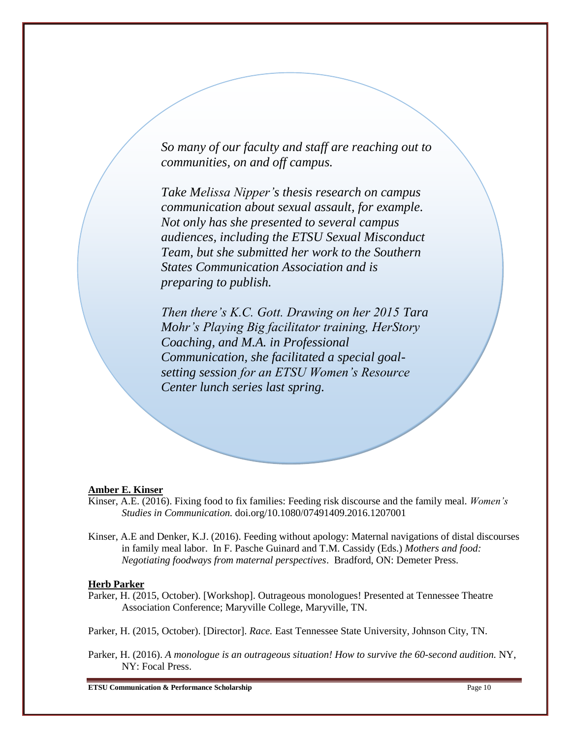*So many of our faculty and staff are reaching out to communities, on and off campus.*

*Take Melissa Nipper's thesis research on campus communication about sexual assault, for example. Not only has she presented to several campus audiences, including the ETSU Sexual Misconduct Team, but she submitted her work to the Southern States Communication Association and is preparing to publish.*

*Then there's K.C. Gott. Drawing on her 2015 Tara Mohr's Playing Big facilitator training, HerStory Coaching, and M.A. in Professional Communication, she facilitated a special goalsetting session for an ETSU Women's Resource Center lunch series last spring.*

# **Amber E. Kinser**

- Kinser, A.E. (2016). Fixing food to fix families: Feeding risk discourse and the family meal. *Women's Studies in Communication.* doi.org/10.1080/07491409.2016.1207001
- Kinser, A.E and Denker, K.J. (2016). Feeding without apology: Maternal navigations of distal discourses in family meal labor. In F. Pasche Guinard and T.M. Cassidy (Eds.) *Mothers and food: Negotiating foodways from maternal perspectives*. Bradford, ON: Demeter Press.

# **Herb Parker**

Parker, H. (2015, October). [Workshop]. Outrageous monologues! Presented at Tennessee Theatre Association Conference; Maryville College, Maryville, TN.

Parker, H. (2015, October). [Director]. *Race.* East Tennessee State University, Johnson City, TN.

Parker, H. (2016). *A monologue is an outrageous situation! How to survive the 60-second audition.* NY, NY: Focal Press.

**ETSU Communication & Performance Scholarship** Page 10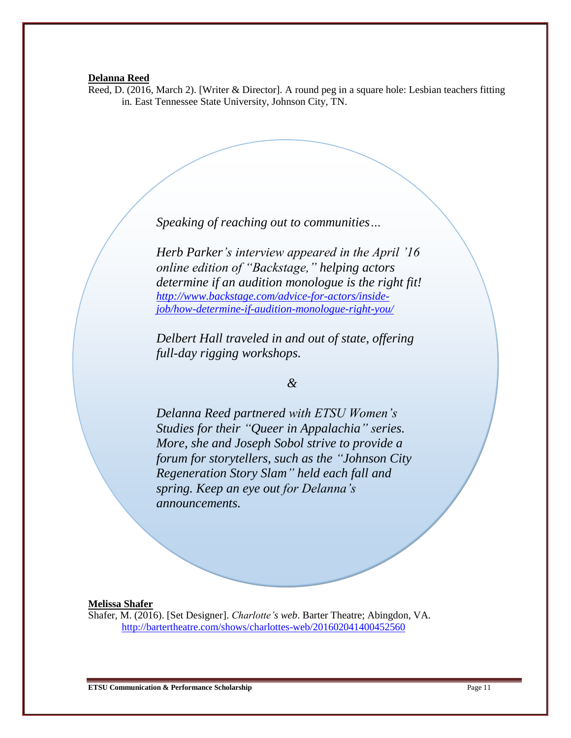### **Delanna Reed**

Reed, D. (2016, March 2). [Writer & Director]. A round peg in a square hole: Lesbian teachers fitting in*.* East Tennessee State University, Johnson City, TN.

*Speaking of reaching out to communities…*

*Herb Parker's interview appeared in the April '16 online edition of "Backstage," helping actors determine if an audition monologue is the right fit! [http://www.backstage.com/advice-for-actors/inside](http://www.backstage.com/advice-for-actors/inside-job/how-determine-if-audition-monologue-right-you/)[job/how-determine-if-audition-monologue-right-you/](http://www.backstage.com/advice-for-actors/inside-job/how-determine-if-audition-monologue-right-you/)*

*Delbert Hall traveled in and out of state, offering full-day rigging workshops.*

*&*

*Delanna Reed partnered with ETSU Women's Studies for their "Queer in Appalachia" series. More, she and Joseph Sobol strive to provide a forum for storytellers, such as the "Johnson City Regeneration Story Slam" held each fall and spring. Keep an eye out for Delanna's announcements.* 

# **Melissa Shafer**

Shafer, M. (2016). [Set Designer]. *Charlotte's web*. Barter Theatre; Abingdon, VA. <http://bartertheatre.com/shows/charlottes-web/201602041400452560>